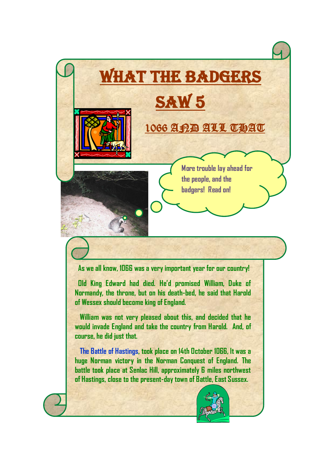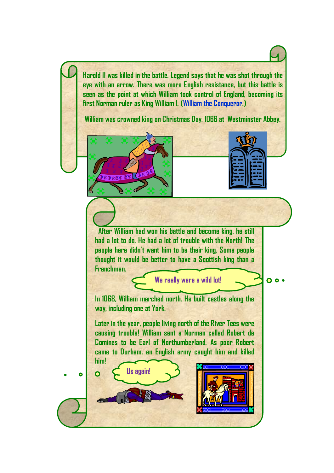**Harold II was killed in the battle. Legend says that he was shot through the eye with an arrow. There was more English resistance, but this battle is seen as the point at which William took control of England, becoming its first Norman ruler as King William I. (William the Conqueror.)**

**William was crowned king on Christmas Day, 1066 at Westminster Abbey.**

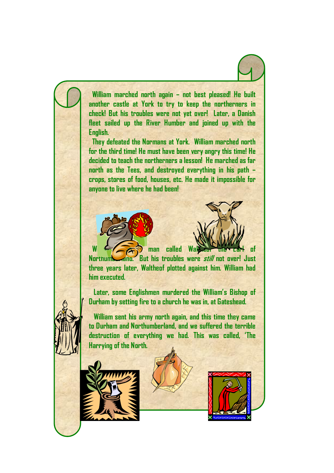